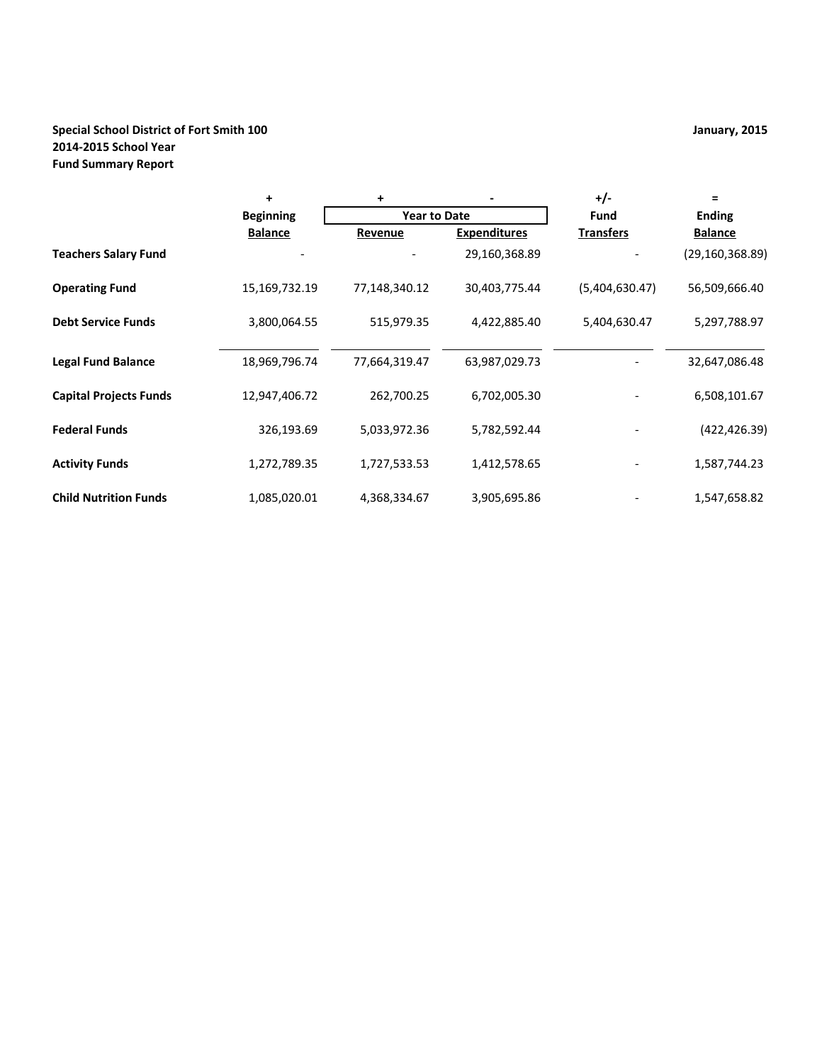# **Special School District of Fort Smith 100 January, 2015 2014-2015 School Year Fund Summary Report**

|                               | +                | +                   |                     | $+/-$            | $\equiv$          |
|-------------------------------|------------------|---------------------|---------------------|------------------|-------------------|
|                               | <b>Beginning</b> | <b>Year to Date</b> |                     | <b>Fund</b>      | <b>Ending</b>     |
|                               | <b>Balance</b>   | Revenue             | <b>Expenditures</b> | <b>Transfers</b> | <b>Balance</b>    |
| <b>Teachers Salary Fund</b>   |                  |                     | 29,160,368.89       |                  | (29, 160, 368.89) |
| <b>Operating Fund</b>         | 15,169,732.19    | 77,148,340.12       | 30,403,775.44       | (5,404,630.47)   | 56,509,666.40     |
| <b>Debt Service Funds</b>     | 3,800,064.55     | 515,979.35          | 4,422,885.40        | 5,404,630.47     | 5,297,788.97      |
| <b>Legal Fund Balance</b>     | 18,969,796.74    | 77,664,319.47       | 63,987,029.73       |                  | 32,647,086.48     |
| <b>Capital Projects Funds</b> | 12,947,406.72    | 262,700.25          | 6,702,005.30        |                  | 6,508,101.67      |
| <b>Federal Funds</b>          | 326,193.69       | 5,033,972.36        | 5,782,592.44        |                  | (422,426.39)      |
| <b>Activity Funds</b>         | 1,272,789.35     | 1,727,533.53        | 1,412,578.65        |                  | 1,587,744.23      |
| <b>Child Nutrition Funds</b>  | 1,085,020.01     | 4,368,334.67        | 3,905,695.86        |                  | 1,547,658.82      |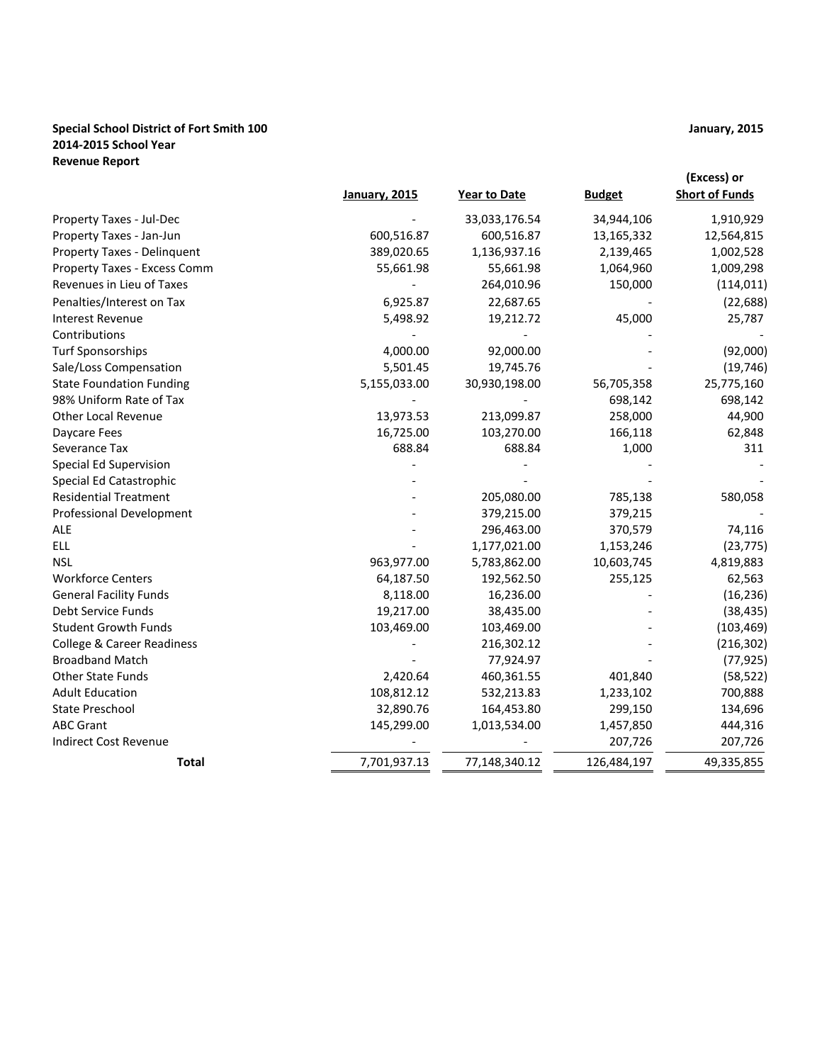### **Special School District of Fort Smith 100 January, 2015 2014-2015 School Year Revenue Report**

|                                       | <b>January, 2015</b> | Year to Date  | <b>Budget</b> | (Excess) or<br><b>Short of Funds</b> |
|---------------------------------------|----------------------|---------------|---------------|--------------------------------------|
| Property Taxes - Jul-Dec              |                      | 33,033,176.54 | 34,944,106    | 1,910,929                            |
| Property Taxes - Jan-Jun              | 600,516.87           | 600,516.87    | 13,165,332    | 12,564,815                           |
| Property Taxes - Delinquent           | 389,020.65           | 1,136,937.16  | 2,139,465     | 1,002,528                            |
| Property Taxes - Excess Comm          | 55,661.98            | 55,661.98     | 1,064,960     | 1,009,298                            |
| Revenues in Lieu of Taxes             |                      | 264,010.96    | 150,000       | (114, 011)                           |
| Penalties/Interest on Tax             | 6,925.87             | 22,687.65     |               | (22, 688)                            |
| <b>Interest Revenue</b>               | 5,498.92             | 19,212.72     | 45,000        | 25,787                               |
| Contributions                         |                      |               |               |                                      |
| <b>Turf Sponsorships</b>              | 4,000.00             | 92,000.00     |               | (92,000)                             |
| Sale/Loss Compensation                | 5,501.45             | 19,745.76     |               | (19, 746)                            |
| <b>State Foundation Funding</b>       | 5,155,033.00         | 30,930,198.00 | 56,705,358    | 25,775,160                           |
| 98% Uniform Rate of Tax               |                      |               | 698,142       | 698,142                              |
| <b>Other Local Revenue</b>            | 13,973.53            | 213,099.87    | 258,000       | 44,900                               |
| Daycare Fees                          | 16,725.00            | 103,270.00    | 166,118       | 62,848                               |
| Severance Tax                         | 688.84               | 688.84        | 1,000         | 311                                  |
| <b>Special Ed Supervision</b>         |                      |               |               |                                      |
| Special Ed Catastrophic               |                      |               |               |                                      |
| <b>Residential Treatment</b>          |                      | 205,080.00    | 785,138       | 580,058                              |
| <b>Professional Development</b>       |                      | 379,215.00    | 379,215       |                                      |
| <b>ALE</b>                            |                      | 296,463.00    | 370,579       | 74,116                               |
| <b>ELL</b>                            |                      | 1,177,021.00  | 1,153,246     | (23, 775)                            |
| <b>NSL</b>                            | 963,977.00           | 5,783,862.00  | 10,603,745    | 4,819,883                            |
| <b>Workforce Centers</b>              | 64,187.50            | 192,562.50    | 255,125       | 62,563                               |
| <b>General Facility Funds</b>         | 8,118.00             | 16,236.00     |               | (16, 236)                            |
| Debt Service Funds                    | 19,217.00            | 38,435.00     |               | (38, 435)                            |
| <b>Student Growth Funds</b>           | 103,469.00           | 103,469.00    |               | (103, 469)                           |
| <b>College &amp; Career Readiness</b> |                      | 216,302.12    |               | (216, 302)                           |
| <b>Broadband Match</b>                |                      | 77,924.97     |               | (77, 925)                            |
| <b>Other State Funds</b>              | 2,420.64             | 460,361.55    | 401,840       | (58, 522)                            |
| <b>Adult Education</b>                | 108,812.12           | 532,213.83    | 1,233,102     | 700,888                              |
| <b>State Preschool</b>                | 32,890.76            | 164,453.80    | 299,150       | 134,696                              |
| <b>ABC Grant</b>                      | 145,299.00           | 1,013,534.00  | 1,457,850     | 444,316                              |
| <b>Indirect Cost Revenue</b>          |                      |               | 207,726       | 207,726                              |
| <b>Total</b>                          | 7,701,937.13         | 77,148,340.12 | 126,484,197   | 49,335,855                           |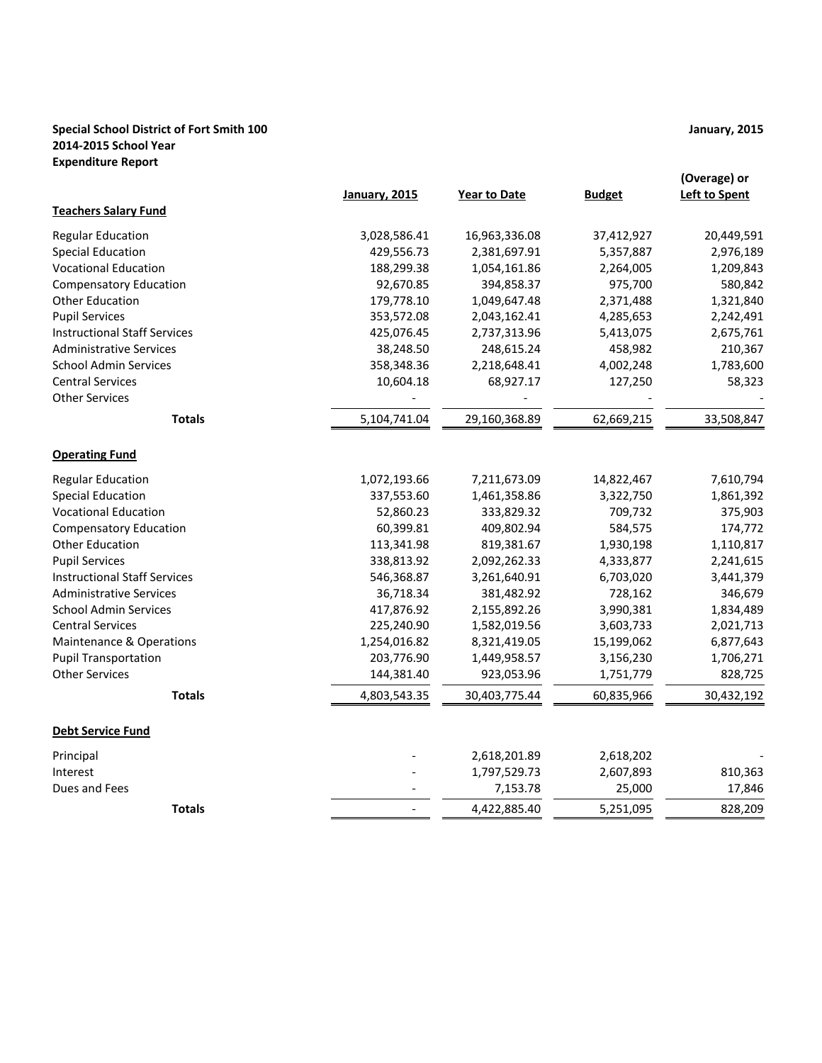### **Special School District of Fort Smith 100 January, 2015 2014-2015 School Year Expenditure Report**

|                                     | January, 2015 | <b>Year to Date</b> | <b>Budget</b> | (Overage) or<br><b>Left to Spent</b> |
|-------------------------------------|---------------|---------------------|---------------|--------------------------------------|
| <b>Teachers Salary Fund</b>         |               |                     |               |                                      |
| <b>Regular Education</b>            | 3,028,586.41  | 16,963,336.08       | 37,412,927    | 20,449,591                           |
| <b>Special Education</b>            | 429,556.73    | 2,381,697.91        | 5,357,887     | 2,976,189                            |
| <b>Vocational Education</b>         | 188,299.38    | 1,054,161.86        | 2,264,005     | 1,209,843                            |
| <b>Compensatory Education</b>       | 92,670.85     | 394,858.37          | 975,700       | 580,842                              |
| <b>Other Education</b>              | 179,778.10    | 1,049,647.48        | 2,371,488     | 1,321,840                            |
| <b>Pupil Services</b>               | 353,572.08    | 2,043,162.41        | 4,285,653     | 2,242,491                            |
| <b>Instructional Staff Services</b> | 425,076.45    | 2,737,313.96        | 5,413,075     | 2,675,761                            |
| <b>Administrative Services</b>      | 38,248.50     | 248,615.24          | 458,982       | 210,367                              |
| <b>School Admin Services</b>        | 358,348.36    | 2,218,648.41        | 4,002,248     | 1,783,600                            |
| <b>Central Services</b>             | 10,604.18     | 68,927.17           | 127,250       | 58,323                               |
| <b>Other Services</b>               |               |                     |               |                                      |
| <b>Totals</b>                       | 5,104,741.04  | 29,160,368.89       | 62,669,215    | 33,508,847                           |
| <b>Operating Fund</b>               |               |                     |               |                                      |
| <b>Regular Education</b>            | 1,072,193.66  | 7,211,673.09        | 14,822,467    | 7,610,794                            |
| <b>Special Education</b>            | 337,553.60    | 1,461,358.86        | 3,322,750     | 1,861,392                            |
| <b>Vocational Education</b>         | 52,860.23     | 333,829.32          | 709,732       | 375,903                              |
| <b>Compensatory Education</b>       | 60,399.81     | 409,802.94          | 584,575       | 174,772                              |
| <b>Other Education</b>              | 113,341.98    | 819,381.67          | 1,930,198     | 1,110,817                            |
| <b>Pupil Services</b>               | 338,813.92    | 2,092,262.33        | 4,333,877     | 2,241,615                            |
| <b>Instructional Staff Services</b> | 546,368.87    | 3,261,640.91        | 6,703,020     | 3,441,379                            |
| <b>Administrative Services</b>      | 36,718.34     | 381,482.92          | 728,162       | 346,679                              |
| <b>School Admin Services</b>        | 417,876.92    | 2,155,892.26        | 3,990,381     | 1,834,489                            |
| <b>Central Services</b>             | 225,240.90    | 1,582,019.56        | 3,603,733     | 2,021,713                            |
| Maintenance & Operations            | 1,254,016.82  | 8,321,419.05        | 15,199,062    | 6,877,643                            |
| <b>Pupil Transportation</b>         | 203,776.90    | 1,449,958.57        | 3,156,230     | 1,706,271                            |
| <b>Other Services</b>               | 144,381.40    | 923,053.96          | 1,751,779     | 828,725                              |
| <b>Totals</b>                       | 4,803,543.35  | 30,403,775.44       | 60,835,966    | 30,432,192                           |
| <b>Debt Service Fund</b>            |               |                     |               |                                      |
| Principal                           |               | 2,618,201.89        | 2,618,202     |                                      |
| Interest                            |               | 1,797,529.73        | 2,607,893     | 810,363                              |
| Dues and Fees                       |               | 7,153.78            | 25,000        | 17,846                               |
| <b>Totals</b>                       |               | 4,422,885.40        | 5,251,095     | 828,209                              |